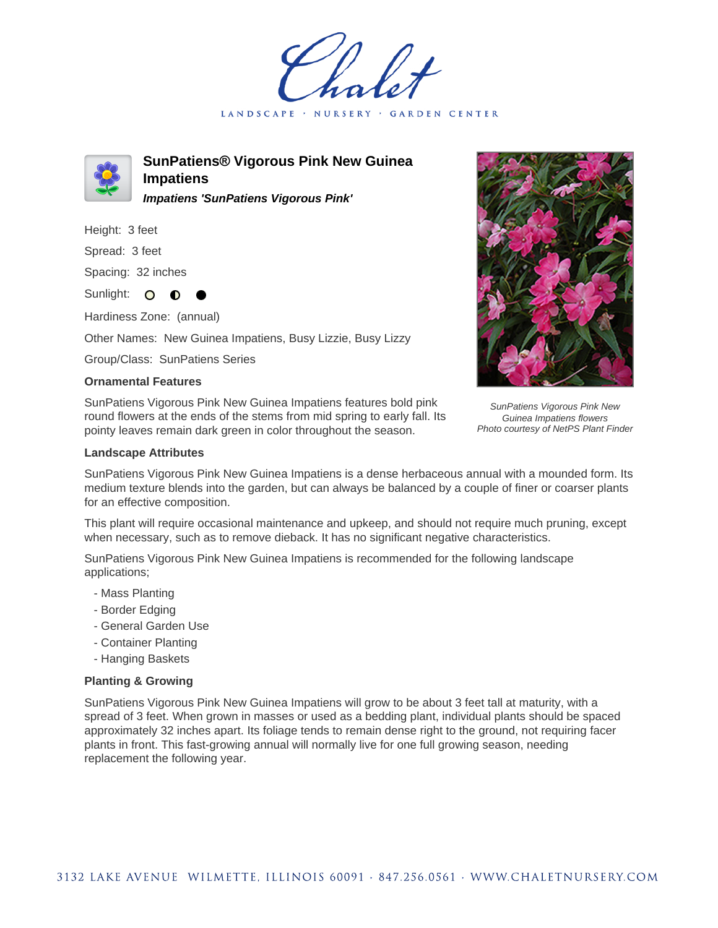LANDSCAPE · NURSERY · GARDEN CENTER



**SunPatiens® Vigorous Pink New Guinea Impatiens Impatiens 'SunPatiens Vigorous Pink'**

Height: 3 feet

Spread: 3 feet

Spacing: 32 inches

Sunlight: O **O** 

Hardiness Zone: (annual)

Other Names: New Guinea Impatiens, Busy Lizzie, Busy Lizzy

Group/Class: SunPatiens Series

## **Ornamental Features**

SunPatiens Vigorous Pink New Guinea Impatiens features bold pink round flowers at the ends of the stems from mid spring to early fall. Its pointy leaves remain dark green in color throughout the season.

## **Landscape Attributes**



SunPatiens Vigorous Pink New Guinea Impatiens flowers Photo courtesy of NetPS Plant Finder

SunPatiens Vigorous Pink New Guinea Impatiens is a dense herbaceous annual with a mounded form. Its medium texture blends into the garden, but can always be balanced by a couple of finer or coarser plants for an effective composition.

This plant will require occasional maintenance and upkeep, and should not require much pruning, except when necessary, such as to remove dieback. It has no significant negative characteristics.

SunPatiens Vigorous Pink New Guinea Impatiens is recommended for the following landscape applications;

- Mass Planting
- Border Edging
- General Garden Use
- Container Planting
- Hanging Baskets

## **Planting & Growing**

SunPatiens Vigorous Pink New Guinea Impatiens will grow to be about 3 feet tall at maturity, with a spread of 3 feet. When grown in masses or used as a bedding plant, individual plants should be spaced approximately 32 inches apart. Its foliage tends to remain dense right to the ground, not requiring facer plants in front. This fast-growing annual will normally live for one full growing season, needing replacement the following year.